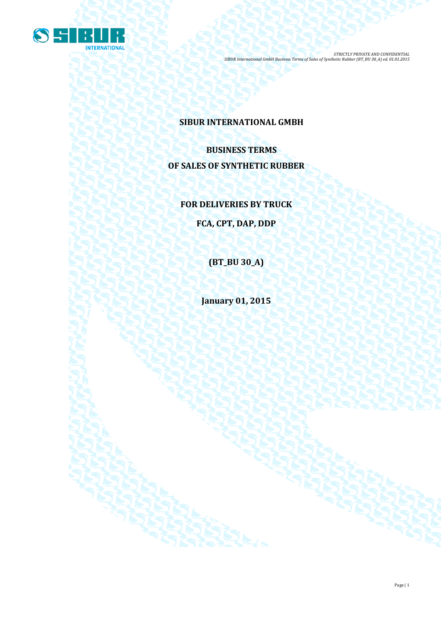

# **SIBUR INTERNATIONAL GMBH**

**BUSINESS TERMS OF SALES OF SYNTHETIC RUBBER**

# **FOR DELIVERIES BY TRUCK**

# **FCA, CPT, DAP, DDP**

**(BT\_BU 30\_A)**

**January 01, 2015**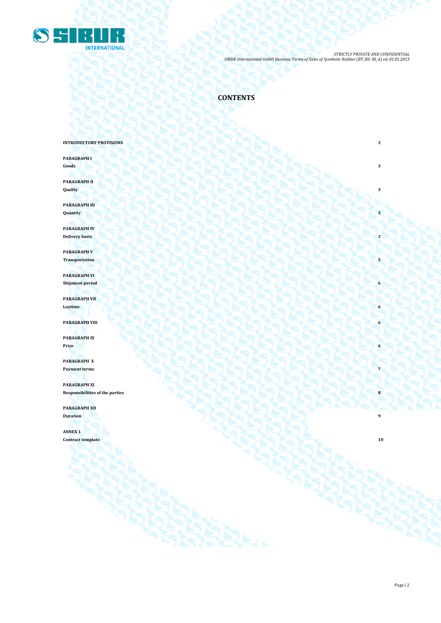

# **CONTENTS**

# **INTRODUCTORY PROVISIONS**

**PARAGRAPH I Goods 3**

**PARAGRAPH II Quality 3**

**PARAGRAPH III Quantity 3**

**PARAGRAPH IV Delivery basis 3**

**PARAGRAPH V Transportation** 

**PARAGRAPH VI Shipment period** 6

**PARAGRAPH VII Laytime 6**

**PARAGRAPH VIII 6** 

**PARAGRAPH IX Price 6**

**PARAGRAPH X Payment terms 7** 

**PARAGRAPH XI Responsibilities of the parties 8**

**PARAGRAPH XII**

**Duration 9** 

**ANNEX 1 Contract template 10**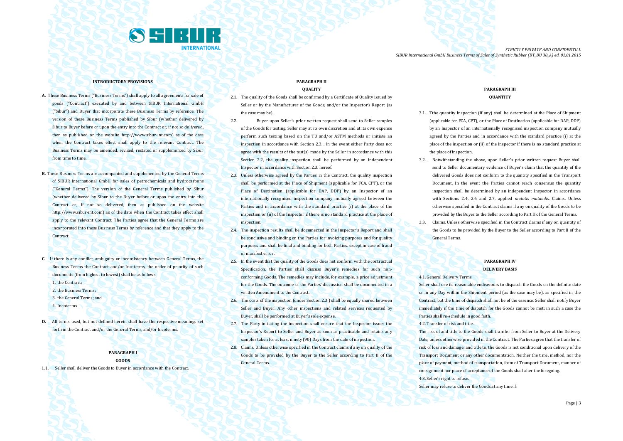

#### **INTRODUCTORY PROVISIONS**

- **A.** These Business Terms ("Business Terms") shall apply to all agreements for sale of goods ("Contract") executed by and between SIBUR International GmbH ("Sibur") and Buyer that incorporate these Business Terms by reference. The version of these Business Terms published by Sibur (whether delivered by Sibur to Buyer before or upon the entry into the Contract or, if not so delivered, then as published on the website [http://www.sibur-int.com\)](http://www.sibur-int.com/) as of the date when the Contract takes effect shall apply to the relevant Contract. The Business Terms may be amended, revised, restated or supplemented by Sibur from time to time.
- **B.** These Business Terms are accompanied and supplemented by the General Terms of SIBUR International GmbH for sales of petrochemicals and hydrocarbons ("General Terms"). The version of the General Terms published by Sibur (whether delivered by Sibur to the Buyer before or upon the entry into the Contract or, if not so delivered, then as published on the website [http://www.sibur-int.com\)](http://www.sibur-int.com/) as of the date when the Contract takes effect shall apply to the relevant Contract. The Parties agree that the General Terms are incorporated into these Business Terms by reference and that they apply to the Contract.
- **C.** If there is any conflict, ambiguity or inconsistency between General Terms, the Business Terms the Contract and/or Incoterms, the order of priority of such documents (from highest to lowest) shall be as follows:
	- 1. the Contract:
	- 2. the Business Terms;
	- 3. the General Terms; and
	- 4. Incoterms
- **D.** All terms used, but not defined herein shall have the respective meanings set forth in the Contract and/or the General Terms, and/or Incoterms.

#### **PARAGRAPH I GOODS**

1.1. Seller shall deliver the Goods to Buyer in accordance with the Contract.

#### **PARAGRAPH II QUALITY**

- 2.1. The quality of the Goods shall be confirmed by a Certificate of Quality issued by Seller or by the Manufacturer of the Goods, and/or the Inspector's Report (as the case may be).
- 2.2. Buyer upon Seller's prior written request shall send to Seller samples of the Goods for testing. Seller may at its own discretion and at its own expense perform such testing based on the TU and/or ASTM methods or initiate an inspection in accordance with Section 2.3. . In the event either Party does not agree with the results of the test(s) made by the Seller in accordance with this Section 2.2, the quality inspection shall be performed by an independent Inspector in accordance with Section 2.3. hereof.
- 2.3. Unless otherwise agreed by the Parties in the Contract, the quality inspection shall be performed at the Place of Shipment (applicable for FCA, CPT), or the Place of Destination (applicable for DAP, DDP) by an Inspector of an internationally recognised inspection company mutually agreed between the Parties and in accordance with the standard practice (i) at the place of the inspection or (ii) of the Inspector if there is no standard practice at the place of inspection.
- 2.4. The inspection results shall be documented in the Inspector's Report and shall be conclusive and binding on the Parties for invoicing purposes and for quality purposes and shall be final and binding for both Parties, except in case of fraud or manifest error.
- 2.5. In the event that the quality of the Goods does not conform with the contractual Specification, the Parties shall discuss Buyer's remedies for such nonconforming Goods. The remedies may include, for example, a price adjustment for the Goods. The outcome of the Parties' discussion shall be documented in a written Amendment to the Contract.
- 2.6. The costs of the inspection (under Section 2.3 ) shall be equally shared between Seller and Buyer. Any other inspections and related services requested by Buyer, shall be performed at Buyer's sole expense.
- 2.7. The Party initiating the inspection shall ensure that the Inspector issues the Inspector's Report to Seller and Buyer as soon as practicable and retains any samples taken for at least ninety (90) Days from the date of inspection.
- 2.8. Claims. Unless otherwise specified in the Contract claims if any on quality of the Goods to be provided by the Buyer to the Seller according to Part II of the General Terms.

## **PARAGRAPH III QUANTITY**

- 3.1. Tthe quantity inspection (if any) shall be determined at the Place of Shipment (applicable for FCA, CPT), or the Place of Destination (applicable for DAP, DDP) by an Inspector of an internationally recognised inspection company mutually agreed by the Parties and in accordance with the standard practice (i) at the place of the inspection or (ii) of the Inspector if there is no standard practice at the place of inspection.
- 3.2. Notwithstanding the above, upon Seller's prior written request Buyer shall send to Seller documentary evidence of Buyer's claim that the quantity of the delivered Goods does not conform to the quantity specified in the Transport Document. In the event the Parties cannot reach consensus the quantity inspection shall be determined by an independent Inspector in accordance with Sections 2.4, 2.6 and 2.7, applied *mutatis mutandis*. Claims. Unless otherwise specified in the Contract claims if any on quality of the Goods to be provided by the Buyer to the Seller according to Part II of the General Terms.
- 3.3. Claims. Unless otherwise specified in the Contract claims if any on quantity of the Goods to be provided by the Buyer to the Seller according to Part II of the General Terms.

## **PARAGRAPH IV DELIVERY BASIS**

#### 4.1. General Delivery Terms

Seller shall use its reasonable endeavours to dispatch the Goods on the definite date or in any Day within the Shipment period (as the case may be), as specified in the Contract, but the time of dispatch shall not be of the essence. Seller shall notify Buyer immediately if the time of dispatch for the Goods cannot be met; in such a case the Parties shall re-schedule in good faith.

4.2. Transfer of risk and title.

The risk of and title to the Goods shall transfer from Seller to Buyer at the Delivery Date, unless otherwise provided in the Contract. The Parties agree that the transfer of risk of loss and damage, and title to, the Goods is not conditional upon delivery of the Transport Document or any other documentation. Neither the time, method, nor the place of payment, method of transportation, form of Transport Document, manner of consignment nor place of acceptance of the Goods shall alter the foregoing. 4.3. Seller's right to refuse.

Seller may refuse to deliver the Goods at any time if: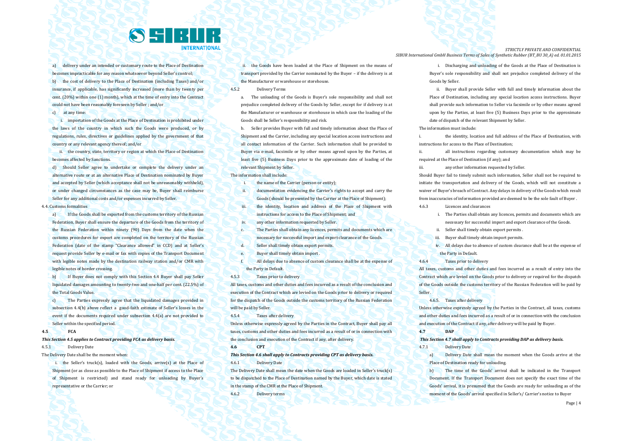

a) delivery under an intended or customary route to the Place of Destination becomes impracticable for any reason whatsoever beyond Seller's control; b) the cost of delivery to the Place of Destination (including Taxes) and/or insurance, if applicable, has significantly increased (more than by twenty per cent. (20%) within one (1) month), which at the time of entry into the Contract could not have been reasonably foreseen by Seller ; and/or

c) at any time:

i. importation of the Goods at the Place of Destination is prohibited under the laws of the country in which such the Goods were produced, or by regulations, rules, directives or guidelines applied by the government of that country or any relevant agency thereof; and/or

ii. the country, state, territory or region at which the Place of Destination becomes affected by Sanctions.

d) Should Seller agree to undertake or complete the delivery under an alternative route or at an alternative Place of Destination nominated by Buyer and accepted by Seller (which acceptance shall not be unreasonably withheld), or under changed circumstances as the case may be, Buyer shall reimburse Seller for any additional costs and/or expenses incurred by Seller.

#### 4.4. Customs formalities

a) If the Goods shall be exported from the customs territory of the Russian Federation, Buyer shall ensure the departure of the Goods from the territory of the Russian Federation within ninety (90) Days from the date when the customs procedures for export are completed on the territory of the Russian Federation (date of the stamp "Clearance allowed" in CCD) and at Seller's request provide Seller by e-mail or fax with copies of the Transport Document with legible notes made by the destination railway station and/or CMR with legible notes of border crossing.

b) If Buyer does not comply with this Section 4.4 Buyer shall pay Seller liquidated damages amounting to twenty-two and one-half per cent. (22.5%) of the Total Goods Value.

c) The Parties expressly agree that the liquidated damages provided in subsection 4.4(b) above reflect a good-faith estimate of Seller's losses in the event if the documents required under subsection 4.4(a) are not provided to Seller within the specified period.

#### **4.5 FCA**

# *This Section 4.5 applies to Contract providing FCA as delivery basis.* 4.5.1 Delivery Date

The Delivery Date shall be the moment when:

i. the Seller's truck(s), loaded with the Goods, arrive(s) at the Place of Shipment (or as close as possible to the Place of Shipment if access to the Place of Shipment is restricted) and stand ready for unloading by Buyer's representative or the Carrier; or

ii. the Goods have been loaded at the Place of Shipment on the means of transport provided by the Carrier nominated by the Buyer – if the delivery is at the Manufacturer or warehouse or storehouse.

- 4.5.2 Delivery Terms
	- a. The unloading of the Goods is Buyer's sole responsibility and shall not prejudice completed delivery of the Goods by Seller, except for if delivery is at the Manufacturer or warehouse or storehouse in which case the loading of the Goods shall be Seller's responsibility and risk.

b. Seller provides Buyer with full and timely information about the Place of Shipment and the Carrier, including any special location access instructions and all contact information of the Carrier. Such information shall be provided to Buyer via e-mail, facsimile or by other means agreed upon by the Parties, at least five (5) Business Days prior to the approximate date of loading of the relevant Shipment by Seller.

The information shall include:

i. the name of the Carrier (person or entity):

- ii. documentation evidencing the Carrier's rights to accept and carry the Goods (should be presented by the Carrier at the Place of Shipment);
- iii. the identity, location and address of the Place of Shipment with instructions for access to the Place of Shipment; and
- iv. any other information requested by Seller.
- c. The Parties shall obtain any licences, permits and documents which are necessary for successful import and export clearance of the Goods.
- d. Seller shall timely obtain export permits.
- e. Buyer shall timely obtain import .
- f. All delays due to absence of custom clearance shall be at the expense of the Party in Default.
- 4.5.3 Taxes prior to delivery

All taxes, customs and other duties and fees incurred as a result of the conclusion and execution of the Contract which are levied on the Goods prior to delivery or required for the dispatch of the Goods outside the customs territory of the Russian Federation will be paid by Seller.

4.5.4 Taxes after delivery

Unless otherwise expressly agreed by the Parties in the Contract, Buyer shall pay all taxes, customs and other duties and fees incurred as a result of or in connection with the conclusion and execution of the Contract if any, after delivery.

#### **4.6 CPT**

#### *This Section 4.6 shall apply to Contracts providing CPT as delivery basis.*

4.6.1 Delivery Date

The Delivery Date shall mean the date when the Goods are loaded in Seller's truck(s) to be dispatched to the Place of Destination named by the Buyer, which date is stated in the stamp of the CMR at the Place of Shipment.

4.6.2 Delivery terms

*STRICTLY PRIVATE AND CONFIDENTIAL SIBUR International GmbH Business Terms of Sales of Synthetic Rubber (BT\_BU 30\_A) ed. 01.01.2015*

> i. Discharging and unloading of the Goods at the Place of Destination is Buyer's sole responsibility and shall not prejudice completed delivery of the Goods by Seller.

> ii. Buyer shall provide Seller with full and timely information about the Place of Destination, including any special location access instructions. Buyer shall provide such information to Seller via facsimile or by other means agreed upon by the Parties, at least five (5) Business Days prior to the approximate date of dispatch of the relevant Shipment by Seller.

#### The information must include:

i. the identity, location and full address of the Place of Destination, with instructions for access to the Place of Destination;

ii. all instructions regarding customary documentation which may be required at the Place of Destination (if any); and

iii. any other information requested by Seller.

Should Buyer fail to timely submit such information, Seller shall not be required to initiate the transportation and delivery of the Goods, which will not constitute a waiver of Buyer's breach of Contract. Any delays in delivery of the Goods which result from inaccuracies of information provided are deemed to be the sole fault of Buyer .

- 4.6.3 Licences and clearances
	- i. The Parties shall obtain any licences, permits and documents which are necessary for successful import and export clearance of the Goods.
	- ii. Seller shall timely obtain export permits .
	- iii. Buyer shall timely obtain import permits.
	- iv. All delays due to absence of custom clearance shall be at the expense of the Party in Default.
- 4.6.4 Taxes prior to delivery

All taxes, customs and other duties and fees incurred as a result of entry into the Contract which are levied on the Goods prior to delivery or required for the dispatch of the Goods outside the customs territory of the Russian Federation will be paid by Seller.

4.6.5. Taxes after delivery

Unless otherwise expressly agreed by the Parties in the Contract, all taxes, customs and other duties and fees incurred as a result of or in connection with the conclusion and execution of the Contract if any, after delivery will be paid by Buyer.

## **4.7 DAP**

*This Section 4.7 shall apply to Contracts providing DAP as delivery basis.*

4.7.1 Delivery Date

a) Delivery Date shall mean the moment when the Goods arrive at the Place of Destination ready for unloading.

b) The time of the Goods' arrival shall be indicated in the Transport Document. If the Transport Document does not specify the exact time of the Goods' arrival, it is presumed that the Goods are ready for unloading as of the moment of the Goods' arrival specified in Seller's/ Carrier's notice to Buyer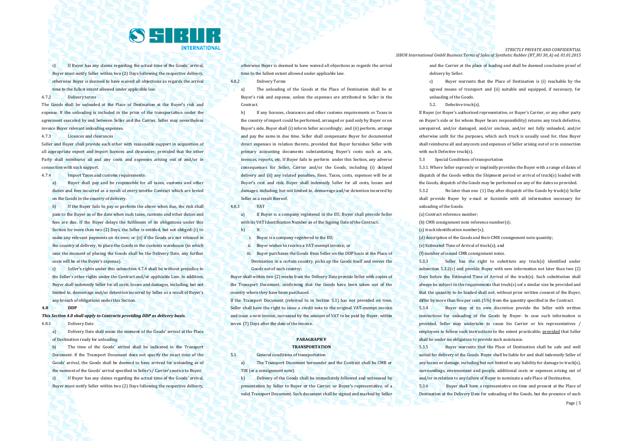

c) If Buyer has any claims regarding the actual time of the Goods' arrival, Buyer must notify Seller within two (2) Days following the respective delivery, otherwise Buyer is deemed to have waived all objections as regards the arrival time to the fullest extent allowed under applicable law.

#### 4.7.2 Delivery terms

The Goods shall be unloaded at the Place of Destination at the Buyer's risk and expense. If the unloading is included in the price of the transportation under the agreement executed by and between Seller and the Carrier, Seller may nevertheless invoice Buyer relevant unloading expenses.

4.7.3 Licences and clearances

Seller and Buyer shall provide each other with reasonable support in acquisition of all appropriate export and import licences and clearances; provided that the other Party shall reimburse all and any costs and expenses arising out of and/or in connection with such support.

4.7.4 Import Taxes and customs requirements

a) Buyer shall pay and be responsible for all taxes, customs and other duties and fees incurred as a result of entry intothe Contract which are levied on the Goods in the country of delivery.

b) If the Buyer fails to pay or perform the above when due, the risk shall pass to the Buyer as of the date when such taxes, customs and other duties and fees are due. If the Buyer delays the fulfilment of its obligations under this Section for more than two (2) Days, the Seller is entitled, but not obliged: (i) to make any relevant payments on its own; or (ii) if the Goods are not released in the country of delivery, to place the Goods in the customs warehouse (in which case the moment of placing the Goods shall be the Delivery Date, any further costs will be at the Buyer's expense).

c) Seller's rights under this subsection 4.7.4 shall be without prejudice to the Seller's other rights under the Contract and/or applicable Law. In addition, Buyer shall indemnify Seller for all costs, losses and damages, including, but not limited to, demurrage and/or detention incurred by Seller as a result of Buyer's any breach of obligations under this Section.

#### **4.8 DDP**

*This Section 4.8 shall apply to Contracts providing DDP as delivery basis.*

4.8.1 Delivery Date

a) Delivery Date shall mean the moment of the Goods' arrival at the Place of Destination ready for unloading.

b) The time of the Goods' arrival shall be indicated in the Transport Document. If the Transport Document does not specify the exact time of the Goods' arrival, the Goods shall be deemed to have arrived for unloading as of the moment of the Goods' arrival specified in Seller's/ Carrier's notice to Buyer. c) If Buyer has any claims regarding the actual time of the Goods' arrival, Buyer must notify Seller within two (2) Days following the respective delivery,

otherwise Buyer is deemed to have waived all objections as regards the arrival time to the fullest extent allowed under applicable law.

4.8.2 Delivery Terms

a) The unloading of the Goods at the Place of Destination shall be at Buyer's risk and expense, unless the expenses are attributed to Seller in the Contract.

b) If any licences, clearances and other customs requirements or Taxes in the country of import could be performed, arranged or paid only by Buyer or on Buyer's side, Buyer shall (i) inform Seller accordingly; and (ii) perform, arrange and pay the same in due time. Seller shall compensate Buyer for documented direct expenses in relation thereto, provided that Buyer furnishes Seller with primary accounting documents substantiating Buyer's costs such as acts, invoices, reports, etc. If Buyer fails to perform under this Section, any adverse consequences for Seller, Carrier and/or the Goods, including (i) delayed delivery and (ii) any related penalties, fines, Taxes, costs, expenses will be at Buyer's cost and risk. Buyer shall indemnify Seller for all costs, losses and damages, including, but not limited to, demurrage and/or detention incurred by Seller as a result thereof.

4.8.3 VAT

a) If Buyer is a company registered in the EU, Buyer shall provide Seller with its VAT Identification Number as of the Signing Date of the Contract.  $h$  If:

- i. Buyer is a company registered in the EU
- ii. Buyer wishes to receive a VAT-exempt invoice; or
- iii. Buyer purchases the Goods from Seller on the DDP basis at the Place of Destination in a certain country, picks up the Goods itself and moves the Goods out of such country;

Buyer shall within two (2) weeks from the Delivery Date provide Seller with copies of the Transport Document, confirming that the Goods have been taken out of the country where they have been purchased.

If the Transport Document (referred to in Section 5.1) has not provided on time, Seller shall have the right to issue a credit note to the original VAT-exempt invoice and issue a new invoice, increased by the amount of VAT to be paid by Buyer, within seven (7) Days after the date of the invoice.

## **PARAGRAPH V TRANSPORTATION**

5.1 General conditions of transportation

a) The Transport Document hereunder and the Contract shall be CMR or TIR (or a consignment note).

b) Delivery of the Goods shall be immediately followed and witnessed by presentation by Seller to Buyer or the Carrier, or Buyer's representative, of a valid Transport Document. Such document shall be signed and marked by Seller

*STRICTLY PRIVATE AND CONFIDENTIAL SIBUR International GmbH Business Terms of Sales of Synthetic Rubber (BT\_BU 30\_A) ed. 01.01.2015*

> and the Carrier at the place of loading and shall be deemed conclusive proof of delivery by Seller.

> c) Buyer warrants that the Place of Destination is (i) reachable by the agreed means of transport and (ii) suitable and equipped, if necessary, for unloading of the Goods.

5.2. Defective truck(s).

If Buyer (or Buyer's authorised representative, or Buyer's Carrier, or any other party on Buyer's side or for whom Buyer bears responsibility) returns any truck defective, unrepaired, and/or damaged, and/or unclean, and/or not fully unloaded, and/or otherwise unfit for the purposes, which such truck is usually used for, thne Buyer shall reimburse all and anycosts and expenses of Seller arising out of or in connection with such Defective truck(s).

5.3 Special Conditions of transportation

5.3.1. Where Seller expressly or impliedly provides the Buyer with a range of dates of dispatch of the Goods within the Shipment period or arrival of truck(s) loaded with the Goods, dispatch of the Goods may be performed on any of the dates so provided.

5.3.2 No later than one (1) Day after dispatch of the Goods by truck(s) Seller shall provide Buyer by e-mail or facsimile with all information necessary for unloading of the Goods:

(a) Contract reference number;

- (b) CMR consignment note reference number(s);
- (c) truck identification number(s);
- (d) description of the Goods and their CMR consignment note quantity;
- (e) Estimated Time of Arrival of truck(s); and

(f) number of issued CMR consignment notes.

5.3.3 Seller has the right to substitute any truck(s) identified under subsection 5.3.2(c) and provide Buyer with new information not later than two (2) Days before the Estimated Time of Arrival of the truck(s). Such substitution shall always be subject to the requirements that truck(s) sof a similar size be provided and that the quantity to be loaded shall not, without prior written consent of the Buyer, differ by more than five per cent. (5%) from the quantity specified in the Contract.

5.3.4 Buyer may at its own discretion provide the Seller with written instructions for unloading of the Goods by Buyer. In case such information is provided, Seller may undertake to cause his Carrier or his representatives / employees to follow such instructions to the extent practicable; provided that Seller shall be under no obligation to provide such assistance.

5.3.5 Buyer warrants that the Place of Destination shall be safe and well suited for delivery of the Goods. Buyer shall be liable for and shall indemnify Seller of any losses or damage, including but not limited to any liability for damage to truck(s), surroundings, environment and people, additional costs or expenses arising out of and/or in relation to any failure of Buyer to nominate a safe Place of Destination.

5.3.6 Buyer shall have a representative on-time and present at the Place of Destination at the Delivery Date for unloading of the Goods, but the presence of such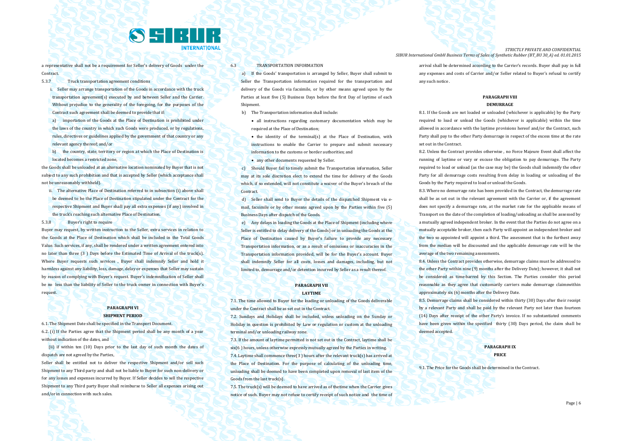

a representative shall not be a requirement for Seller's delivery of Goods under the **Contract** 

5.3.7 Truck transportation agreement conditions

- i. Seller may arrange transportation of the Goods in accordance with the truck transportation agreement(s) executed by and between Seller and the Carrier. Without prejudice to the generality of the foregoing, for the purposes of the Contract such agreement shall be deemed to provide that if:
- a) importation of the Goods at the Place of Destination is prohibited under the laws of the country in which such Goods were produced, or by regulations, rules, directives or guidelines applied by the government of that country or any relevant agency thereof; and/or
- b) the country, state, territory or region at which the Place of Destination is located becomes a restricted zone,

the Goods shall be unloaded at an alternative location nominated by Buyer that is not subject to any such prohibition and that is accepted by Seller (which acceptance shall not be unreasonably withheld).

ii. The alternative Place of Destination referred to in subsection (i) above shall be deemed to be the Place of Destination stipulated under the Contract for the respective Shipment and Buyer shall pay all extra expenses (if any) involved in the truck's reaching such alternative Place of Destination.

5.3.8 Buyer's right to require

Buyer may request, by written instruction to the Seller, extra services in relation to the Goods at the Place of Destination which shall be included in the Total Goods Value. Such services, if any, shall be rendered under a written agreement entered into no later than three (3 ) Days before the Estimated Time of Arrival of the truck(s). Where Buyer requests such services , Buyer shall indemnify Seller and hold it harmless against any liability, loss, damage, delay or expenses that Seller may sustain by reason of complying with Buyer's request. Buyer's indemnification of Seller shall be no less than the liability of Seller to the truck owner in connection with Buyer's request.

## **PARAGRAPH VI SHIPMENT PERIOD**

6.1. The Shipment Date shall be specified in the Transport Document.

6.2. (i) If the Parties agree that the Shipment period shall be any month of a year without indication of the dates, and

 (ii) if within ten (10) Days prior to the last day of such month the dates of dispatch are not agreed by the Parties,

Seller shall be entitled not to deliver the respective Shipment and/or sell such Shipment to any Third party and shall not be liable to Buyer for such non-delivery or for any losses and expenses incurred by Buyer. If Seller decides to sell the respective Shipment to any Third party Buyer shall reimburse to Seller all expenses arising out and/or in connection with such sales.

6.3 TRANSPORTATION INFORMATION

a) If the Goods' transportation is arranged by Seller, Buyer shall submit to Seller the Transportation information required for the transportation and delivery of the Goods via facsimile, or by other means agreed upon by the Parties at least five (5) Business Days before the first Day of laytime of each Shipment.

b) The Transportation information shall include:

 all instructions regarding customary documentation which may be required at the Place of Destination;

• the identity of the terminal(s) at the Place of Destination, with instructions to enable the Carrier to prepare and submit necessary information to the customs or border authorities; and

• any other documents requested by Seller.

c) Should Buyer fail to timely submit the Transportation information, Seller may at its sole discretion elect to extend the time for delivery of the Goods which, if so extended, will not constitute a waiver of the Buyer's breach of the Contract.

d) Seller shall send to Buyer the details of the dispatched Shipment via email, facsimile or by other means agreed upon by the Parties within five (5) Business Days after dispatch of the Goods.

e) Any delays in loading the Goods at the Place of Shipment (including where Seller is entitled to delay delivery of the Goods) or in unloading the Goods at the Place of Destination caused by Buyer's failure to provide any necessary Transportation information, or as a result of omissions or inaccuracies in the Transportation information provided, will be for the Buyer's account. Buyer shall indemnify Seller for all costs, losses and damages, including, but not limited to, demurrage and/or detention incurred by Seller as a result thereof.

#### **PARAGRAPH VII LAYTIME**

7.1. The time allowed to Buyer for the loading or unloading of the Goods deliverable under the Contract shall be as set out in the Contract.

7.2. Sundays and Holidays shall be included, unless unloading on the Sunday or Holiday in question is prohibited by Law or regulation or custom at the unloading terminal and/or unloading railway zone.

7.3. If the amount of laytime permitted is not set out in the Contract, laytime shall be six(6 ) hours, unless otherwise expressly mutually agreed by the Parties in writing. 7.4. Laytime shall commence three(3 ) hours after the relevant truck(s) has arrived at the Place of Destination. For the purpose of calculating of the unloading time, unloading shall be deemed to have been completed upon removal of last item of the Goods from the last truck(s).

7.5. The truck(s) will be deemed to have arrived as of thetime when the Carrier gives notice of such. Buyer may not refuse to certify receipt of such notice and the time of

*STRICTLY PRIVATE AND CONFIDENTIAL SIBUR International GmbH Business Terms of Sales of Synthetic Rubber (BT\_BU 30\_A) ed. 01.01.2015*

> arrival shall be determined according to the Carrier's records. Buyer shall pay in full any expenses and costs of Carrier and/or Seller related to Buyer's refusal to certify any such notice .

### **PARAGRAPH VIII DEMURRAGE**

8.1. If the Goods are not loaded or unloaded (whichever is applicable) by the Party required to load or unload the Goods (whichever is applicable) within the time allowed in accordance with the laytime provisions hereof and/or the Contract, such Party shall pay to the other Party demurrage in respect of the excess time at the rate set out in the Contract.

8.2. Unless the Contract provides otherwise , no Force Majeure Event shall affect the running of laytime or vary or excuse the obligation to pay demurrage. The Party required to load or unload (as the case may be) the Goods shall indemnify the other Party for all demurrage costs resulting from delay in loading or unloading of the Goods by the Party required to load or unload the Goods.

8.3. Where no demurrage rate has been provided in the Contract, the demurrage rate shall be as set out in the relevant agreement with the Carrier or, if the agreement does not specify a demurrage rate, at the market rate for the applicable means of Transport on the date of the completion of loading/unloading as shall be assessed by a mutually agreed independent broker. In the event that the Parties do not agree on a mutually acceptable broker, then each Party will appoint an independent broker and the two so appointed will appoint a third. The assessment that is the furthest away from the median will be discounted and the applicable demurrage rate will be the average of the two remaining assessments.

8.4. Unless the Contract provides otherwise, demurrage claims must be addressed to the other Party within nine (9) months after the Delivery Date); however, it shall not be considered as time-barred by this Section. The Parties consider this period reasonable as they agree that customarily carriers make demurrage claimswithin approximately six (6) months after the Delivery Date.

8.5. Demurrage claims shall be considered within thirty (30) Days after their receipt by a relevant Party and shall be paid by the relevant Party not later than fourteen (14) Days after receipt of the other Party's invoice. If no substantiated comments have been given within the specified thirty (30) Days period, the claim shall be deemed accepted.

## **PARAGRAPH IX PRICE**

9.1. The Price for the Goods shall be determined in the Contract.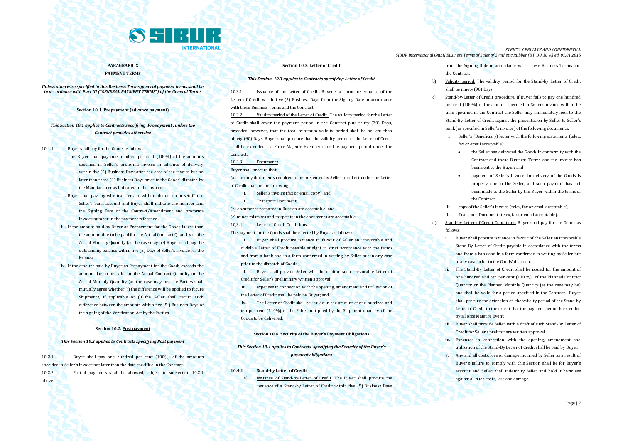

**PARAGRAPH X PAYMENT TERMS**

#### *Unless otherwise specified in this Business Terms general payment terms shall be in accordance with Part III ("GENERAL PAYMENT TERMS") of the General Terms*

**Section 10.1. Prepayment (advance payment)**

*This Section 10.1 applies to Contracts specifying Prepayment , unless the Contract provides otherwise*

10.1.1. Buyer shall pay for the Goods as follows:

- i. The Buyer shall pay one hundred per cent (100%) of the amounts specified in Seller's proforma invoice in advance of delivery within five (5) Business Days after the date of the invoice but no later than three (3) Business Days prior to the Goods' dispatch by the Manufacturer as indicated in the invoice.
- ii. Buyer shall payt by wire transfer and without deduction or setoff into Seller's bank account and Buyer shall indicate the number and the Signing Date of the Contract/Amendment and proforma invoice number in the payment reference .
- iii. If the amount paid by Buyer as Prepayment for the Goods is less than the amount due to be paid for the Actual Contract Quantity or the Actual Monthly Quantity (as the case may be) Buyer shall pay the outstanding balance within five (5) Days of Seller's invoice for the balance.
- iv. If the amount paid by Buyer as Prepayment for the Goods exceeds the amount due to be paid for the Actual Contract Quantity or the Actual Monthly Quantity (as the case may be) the Parties shall mutually agree whether (i) the difference will be applied to future Shipments, if applicable or (ii) the Seller shall return such difference between the amounts within five (5 ) Business Days of the signing of the Verification Act by the Parties.

## **Section 10.2. Post payment**

#### *This Section 10.2 applies to Contracts specifying Post payment*

10.2.1 Buyer shall pay one hundred per cent (100%) of the amounts specified in Seller's invoice not later than the date specified in the Contract. 10.2.2 Partial payments shall be allowed, subject to subsection 10.2.1 above.

#### **Section 10.3. Letter of Credit**

#### *This Section 10.3 applies to Contracts specifying Letter of Credit*

10.3.1 Issuance of the Letter of Credit. Buyer shall procure issuance of the Letter of Credit within five (5) Business Days from the Signing Date in accordance with these Business Terms and the Contract.

10.3.2 Validity period of the Letter of Credit. The validity period for the Letter of Credit shall cover the payment period in the Contract plus thirty (30) Days, provided, however, that the total minimum validity period shall be no less than ninety (90) Days. Buyer shall procure that the validity period of the Letter of Credit shall be extended if a Force Majeure Event extends the payment period under the **Contract.** 

10.3.3 Documents

Buyer shall procure that:

(a) the only documents required to be presented by Seller to collect under the Letter of Credit shall be the following:

- i. Seller's invoice (fax or email copy); and
- ii. Transport Document;

(b) documents prepared in Russian are acceptable; and (c) minor mistakes and misprints in the documents are acceptable. 10,3.4 Letter of Credit Conditions

The payment for the Goods shall be effected by Buyer as follows:

i. Buyer shall procure issuance in favour of Seller an irrevocable and divisible Letter of Credit payable at sight in strict accordance with the terms and from a bank and in a form confirmed in writing by Seller but in any case prior to the dispatch of Goods ;

ii. Buyer shall provide Seller with the draft of such irrevocable Letter of Credit for Seller's preliminary written approval;

iii. expenses in connection with the opening, amendment and utilisation of the Letter of Credit shall be paid by Buyer; and

iv. The Letter of Credit shall be issued in the amount of one hundred and ten per cent (110%) of the Price multiplied by the Shipment quantity of the Goods to be delivered.

#### **Section 10.4. Security of the Buyer's Payment Obligations**

## *This Section 10.4 applies to Contracts specifying the Security of the Buyer's payment obligations*

#### **10.4.1 Stand-by Letter of Credit**

a) Issuance of Stand-by-Letter of Credit. The Buyer shall procure the issuance of a Stand-by Letter of Credit within five (5) Business Days

*STRICTLY PRIVATE AND CONFIDENTIAL SIBUR International GmbH Business Terms of Sales of Synthetic Rubber (BT\_BU 30\_A) ed. 01.01.2015*

> from the Signing Date in accordance with these Business Terms and the Contract.

- b) Validity period. The validity period for the Stand-by Letter of Credit shall be ninety (90) Days.
- c) Stand-by-Letter of Credit procedure. If Buyer fails to pay one hundred per cent (100%) of the amount specified in Seller's invoice within the time specified in the Contract the Seller may immediately look to the Stand-By Letter of Credit against the presentation by Seller to Seller's bank (as specified in Seller's invoice) of the following documents:
	- i. Seller's (Beneficiary) letter with the following statements (telex, fax or email acceptable):
		- the Seller has delivered the Goods in conformity with the Contract and these Business Terms and the invoice has been sent to the Buyer; and
		- payment of Seller's invoice for delivery of the Goods is properly due to the Seller, and such payment has not been made to the Seller by the Buyer within the terms of the Contract;
	- copy of the Seller's invoice (telex, fax or email acceptable);
	- Transport Document (telex, fax or email acceptable).
- d) Stand-by Letter of Credit Conditions. Buyer shall pay for the Goods as follows:
	- **i.** Buyer shall procure issuance in favour of the Seller an irrevocable Stand-By Letter of Credit payable in accordance with the terms and from a bank and in a form confirmed in writing by Seller but in any case prior to the Goods' dispatch.
	- **ii.** The Stand-By Letter of Credit shall be issued for the amount of one hundred and ten per cent (110 %) of the Planned Contract Quantity or the Planned Monthly Quantity (as the case may be) and shall be valid for a period specified in the Contract. Buyer shall procure the extension of the validity period of the Stand-by Letter of Credit to the extent that the payment period is extended by a Force Majeure Event.
	- **iii.** Buyer shall provide Seller with a draft of such Stand-By Letter of Credit for Seller's preliminary written approval.
	- **iv.** Expenses in connection with the opening, amendment and utilisation of the Stand-By Letter of Credit shall be paid by Buyer.
	- **v.** Any and all costs, loss or damage incurred by Seller as a result of Buyer's failure to comply with this Section shall be for Buyer's account and Seller shall indemnify Seller and hold it harmless against all such costs, loss and damage.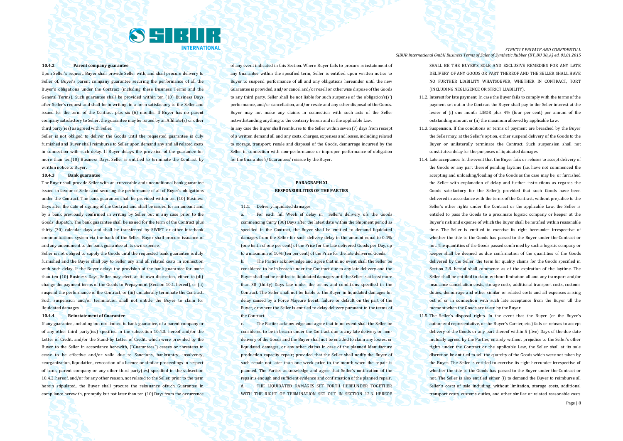

#### **10.4.2 Parent company guarantee**

Upon Seller's request, Buyer shall provide Seller with, and shall procure delivery to Seller of, Buyer's parent company guarantee securing the performance of all the Buyer's obligations under the Contract (including these Business Terms and the General Terms). Such guarantee shall be provided within ten (10) Business Days after Seller's request and shall be in writing, in a form satisfactory to the Seller and issued for the term of the Contract plus six (6) months. If Buyer has no parent company satisfactory to Seller, the guarantee may be issued by an Affiliate(s) or other third party(ies) as agreed with Seller.

Seller is not obliged to deliver the Goods until the requested guarantee is duly furnished and Buyer shall reimburse to Seller upon demand any and all related costs in connection with such delay. If Buyer delays the provision of the guarantee for more than ten(10) Business Days, Seller is entitled to terminate the Contract by written notice to Buyer.

#### **10.4.3 Bank guarantee**

The Buyer shall provide Seller with an irrevocable and unconditional bank guarantee issued in favour of Seller and securing the performance of all of Buyer's obligations under the Contract. The bank guarantee shall be provided within ten (10) Business Days after the date of signing of the Contract and shall be issued for an amount and by a bank previously confirmed in writing by Seller but in any case prior to the Goods' dispatch. The bank guarantee shall be issued for the term of the Contract plus thirty (30) calendar days and shall be transferred by SWIFT or other interbank communications system via the bank of the Seller. Buyer shall procure issuance of and any amendment to the bank guarantee at its own expense.

Seller is not obliged to supply the Goods until the requested bank guarantee is duly furnished and the Buyer shall pay to Seller any and all related costs in connection with such delay. If the Buyer delays the provision of the bank guarantee for more than ten (10) Business Days, Seller may elect, at its own discretion, either to (di) change the payment terms of the Goods to Prepayment (Section 10.1. hereof), or (ii) suspend the performance of the Contract, or (iii) unilaterally terminate the Contract. Such suspension and/or termination shall not entitle the Buyer to claim for liquidated damages.

#### **10.4.4 Reinstatement of Guarantee**

If any guarantee, including but not limited to bank guarantee, of a parent company or of any other third party(ies) specified in the subsection 10.4.3. hereof and/or the Letter of Credit, and/or the Stand-by Letter of Credit, which were provided by the Buyer to the Seller in accordance herewith, ("Guarantees") ceases or threatens to cease to be effective and/or valid due to Sanctions, bankruptcy, insolvency, reorganization, liquidation, revocation of a licence or similar proceedings in respect of bank, parent company or any other third party(ies) specified in the subsection 10.4.2. hereof, and/or for any other reason, not related to the Seller, prior to the term herein stipulated, the Buyer shall procure the reissuance ofsuch Guarantee in compliance herewith, promptly but not later than ten (10) Days from the occurrence of any event indicated in this Section. Where Buyer fails to procure reinstatement of any Guarantee within the specified term, Seller is entitled upon written notice to Buyer to suspend performance of all and any obligations hereunder until the new Guarantee is provided, and/or cancel and/or resell or otherwise dispose of the Goods to any third party. Seller shall be not liable for such suspense of the obligation's(s') performance, and/or cancellation, and/or resale and any other disposal of the Goods. Buyer may not make any claims in connection with such acts of the Seller notwithstanding anything to the contrary herein and in the applicable Law.

In any case the Buyer shall reimburse to the Seller within seven (7) days from receipt of a written demand all and any costs, charges, expenses and losses, including related to storage, transport, resale and disposal of the Goods, demurrage incurred by the Seller in connection with non-performance or improper performance of obligation for the Guarantee's/Guarantees' reissue by the Buyer.

## **PARAGRAPH XI RESPONSIBILITIES OF THE PARTIES**

11.1. Delivery liquidated damages

a. For each full Week of delay in Seller's delivery ofs the Goods commencing thirty (30) Days after the latest date within the Shipment period as specified in the Contract, the Buyer shall be entitled to demand liquidated damages from the Seller for such delivery delay in the amount equal to 0.1% (one tenth of one per cent) of the Price for the late delivered Goods per Day, up to a maximum of 10% (ten per cent) of the Price for the late delivered Goods. b. The Parties acknowledge and agree that in no event shall the Seller be considered to be in breach under the Contract due to any late delivery and the Buyer shall not be entitled to liquidated damages until the Seller is at least more than 30 (thirty) Days late under the terms and conditions specified in the Contract. The Seller shall not be liable to the Buyer in liquidated damages for delay caused by a Force Majeure Event, failure or default on the part of the Buyer, or where the Seller is entitled to delay delivery pursuant to the terms of the Contract.

c. The Parties acknowledge and agree that in no event shall the Seller be considered to be in breach under the Contract due to any late delivery or nondelivery of the Goods and the Buyer shall not be entitled to claim any losses, or liquidated damages, or any other claims in case of the planned Manufacture production capacity repair; provided that the Seller shall notify the Buyer of such repair not later than one week prior to the month when the repair is planned. The Parties acknowledge and agree that Seller's notification of the repair is enough and sufficient evidence and confirmation of the planned repair. d. THE LIQUIDATED DAMAGES SET FORTH HEREUNDER TOGETHER WITH THE RIGHT OF TERMINATION SET OUT IN SECTION 12.3. HEREOF

*STRICTLY PRIVATE AND CONFIDENTIAL SIBUR International GmbH Business Terms of Sales of Synthetic Rubber (BT\_BU 30\_A) ed. 01.01.2015*

> SHALL BE THE BUYER'S SOLE AND EXCLUSIVE REMEDIES FOR ANY LATE DELIVERY OF ANY GOODS OR PART THEREOF AND THE SELLER SHALL HAVE NO FURTHER LIABILITY WHATSOEVER, WHETHER IN CONTRACT, TORT (INCLUDING NEGLIGENCE OR STRICT LIABILITY).

- 11.2. Interest for late payment. In case the Buyer fails to comply with the terms of the payment set out in the Contract the Buyer shall pay to the Seller interest at the lesser of (i) one month LIBOR plus 4% (four per cent) per annum of the outstanding amount or (ii) the maximum allowed by applicable Law.
- 11.3. Suspension. If the conditions or terms of payment are breached by the Buyer the Seller may, at the Seller's option, either suspend delivery of the Goods to the Buyer or unilaterally terminate the Contract. Such suspension shall not constitute a delay for the purposes of liquidated damages.
- 11.4. Late acceptance. In the event that the Buyer fails or refuses to accept delivery of the Goods or any part thereof pending laytime (i.e. have not commenced the accepting and unloading/loading of the Goods as the case may be; or furnished the Seller with explanation of delay and further instructions as regards the Goods satisfactory for the Seller); provided that such Goods have been delivered in accordance with the terms of the Contract, without prejudice to the Seller's other rights under the Contract or the applicable Law, the Seller is entitled to pass the Goods to a proximate logistic company or keeper at the Buyer's risk and expense of which the Buyer shall be notified within reasonable time. The Seller is entitled to exercise its right hereunder irrespective of whether the title to the Goods has passed to the Buyer under the Contract or not. The quantities of the Goods passed confirmed by such a logistic company or keeper shall be deemed as due confirmation of the quantities of the Goods delivered by the Seller; the term for quality claims for the Goods specified in Section 2.8. hereof shall commence as of the expiration of the laytime. The Seller shall be entitled to claim without limitation all and any transport and/or insurance cancellation costs, storage costs, additional transport costs, customs duties, demurrage and other similar or related costs and all expenses arising out of or in connection with such late acceptance from the Buyer till the moment when the Goods are taken by the Buyer.
- 11.5. The Seller's disposal rights. In the event that the Buyer (or the Buyer's authorized representative, or the Buyer's Carrier, etc.) fails or refuses to accept delivery of the Goods or any part thereof within 5 (five) Days of the due date mutually agreed by the Parties, entirely without prejudice to the Seller's other rights under the Contract or the applicable Law, the Seller shall at its sole discretion be entitled to sell the quantity of the Goods which were not taken by the Buyer. The Seller is entitled to exercise its right hereunder irrespective of whether the title to the Goods has passed to the Buyer under the Contract or not. The Seller is also entitled either (i) to demand the Buyer to reimburse all Seller's costs of sale including, without limitation, storage costs, additional transport costs, customs duties, and other similar or related reasonable costs

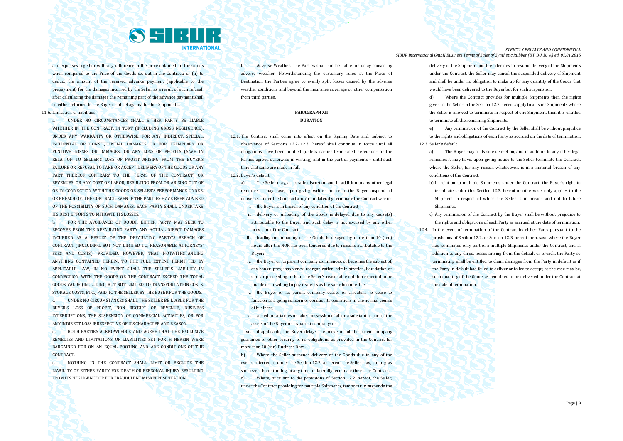

and expenses together with any difference in the price obtained for the Goods when compared to the Price of the Goods set out in the Contract: or (ii) to deduct the amount of the received advance payment (applicable to the prepayment) for the damages incurred by the Seller as a result of such refusal; after calculating the damages the remaining part of the advance payment shall be either returned to the Buyer or offset against further Shipments..

11.6. Limitation of liabilities

a. UNDER NO CIRCUMSTANCES SHALL EITHER PARTY BE LIABLE WHETHER IN THE CONTRACT. IN TORT (INCLUDING GROSS NEGLIGENCE), UNDER ANY WARRANTY OR OTHERWISE, FOR ANY INDIRECT, SPECIAL, INCIDENTAL OR CONSEQUENTIAL DAMAGES OR FOR EXEMPLARY OR PUNITIVE LOSSES OR DAMAGES, OR ANY LOSS OF PROFITS (SAVE IN RELATION TO SELLER'S LOSS OF PROFIT ARISING FROM THE BUYER'S FAILURE OR REFUSAL TO TAKE OR ACCEPT DELIVERY OF THE GOODS OR ANY PART THEREOF CONTRARY TO THE TERMS OF THE CONTRACT) OR REVENUES, OR ANY COST OF LABOR, RESULTING FROM OR ARISING OUT OF OR IN CONNECTION WITH THE GOODS OR SELLER'S PERFORMANCE UNDER, OR BREACH OF, THE CONTRACT, EVEN IF THE PARTIES HAVE BEEN ADVISED. OF THE POSSIBILITY OF SUCH DAMAGES. EACH PARTY SHALL UNDERTAKE ITS BEST EFFORTS TO MITIGATE ITS LOSSES.

b. FOR THE AVOIDANCE OF DOUBT, EITHER PARTY MAY SEEK TO RECOVER FROM THE DEFAULTING PARTY ANY ACTUAL DIRECT DAMAGES INCURRED AS A RESULT OF THE DEFAULTING PARTY'S BREACH OF CONTRACT (INCLUDING, BUT NOT LIMITED TO, REASONABLE ATTORNEYS' FEES AND COSTS): PROVIDED, HOWEVER, THAT NOTWITHSTANDING ANYTHING CONTAINED HEREIN, TO THE FULL EXTENT PERMITTED BY APPLICABLE LAW, IN NO EVENT SHALL THE SELLER'S LIABILITY IN CONNECTION WITH THE GOODS OR THE CONTRACT EXCEED THE TOTAL GOODS VALUE (INCLUDING, BUT NOT LIMITED TO TRANSPORTATION COSTS, STORAGE COSTS, ETC.) PAID TO THE SELLER BY THE BUYER FOR THE GOODS.

c. UNDER NO CIRCUMSTANCES SHALL THE SELLER BE LIABLE FOR THE BUYER'S LOSS OF PROFIT, NON RECEIPT OF REVENUE, BUSINESS INTERRUPTIONS, THE SUSPENSION OF COMMERCIAL ACTIVITIES, OR FOR ANY INDIRECT LOSS IRRESPECTIVE OF ITS CHARACTER AND REASON.

d. BOTH PARTIES ACKNOWLEDGE AND AGREE THAT THE EXCLUSIVE REMEDIES AND LIMITATIONS OF LIABILITIES SET FORTH HEREIN WERE BARGAINED FOR ON AN EQUAL FOOTING AND ARE CONDITIONS OF THE CONTRACT.

e. NOTHING IN THE CONTRACT SHALL LIMIT OR EXCLUDE THE LIABILITY OF EITHER PARTY FOR DEATH OR PERSONAL INJURY RESULTING FROM ITS NEGLIGENCE OR FOR FRAUDULENT MISREPRESENTATION.

f. Adverse Weather. The Parties shall not be liable for delay caused by adverse weather. Notwithstanding the customary rules at the Place of Destination the Parties agree to evenly split losses caused by the adverse weather conditions and beyond the insurance coverage or other compensation from third parties.

## **PARAGRAPH XII DURATION**

12.1. The Contract shall come into effect on the Signing Date and, subject to observance of Sections 12.2-.12.3. hereof shall continue in force until all obligations have been fulfilled (unless earlier terminated hereunder or the Parties agreed otherwise in writing) and in the part of payments – until such time that same are made in full.

12.2. Buyer's default

a) The Seller may, at its sole discretion and in addition to any other legal remedies it may have, upon giving written notice to the Buyer suspend all deliveries under the Contract and/or unilaterally terminate the Contract where:

i. the Buyer is in breach of any condition of the Contract;

ii. delivery or unloading of the Goods is delayed due to any cause(s) attributable to the Buyer and such delay is not excused by any other provision of the Contract;

- iii. loading or unloading of the Goods is delayed by more than 10 (ten) hours after the NOR has been tendered due to reasons attributable to the Buyer;
- iv. the Buyer or its parent company commences, or becomes the subject of, any bankruptcy, insolvency, reorganization, administration, liquidation or similar proceeding or is in the Seller's reasonable opinion expected to be unable or unwilling to pay its debts as the same become due;
- v. the Buyer or its parent company ceases or threatens to cease to function as a going concern or conduct its operations in the normal course of business;
- vi. a creditor attaches or takes possession of all or a substantial part of the assets of the Buyer or its parent company; or

vii. if applicable, the Buyer delays the provision of the parent company guarantee or other security of its obligations as provided in the Contract for more than 10 (ten) Business Days.

b) Where the Seller suspends delivery of the Goods due to any of the events referred to under the Section 12.2. a) hereof, the Seller may, so long as such event is continuing, at any time unilaterally terminate the entire Contract. c) Where, pursuant to the provisions of Section 12.2. hereof, the Seller, under the Contract providing for multiple Shipments, temporarily suspends the

*STRICTLY PRIVATE AND CONFIDENTIAL SIBUR International GmbH Business Terms of Sales of Synthetic Rubber (BT\_BU 30\_A) ed. 01.01.2015*

> delivery of the Shipment and then decides to resume delivery of the Shipments under the Contract, the Seller may cancel the suspended delivery of Shipment and shall be under no obligation to make up for any quantity of the Goods that would have been delivered to the Buyer but for such suspension.

> d) Where the Contract provides for multiple Shipments then the rights given to the Seller in the Section 12.2. hereof, apply to all such Shipments where the Seller is allowed to terminate in respect of one Shipment, then it is entitled to terminate all the remaining Shipments.

e) Any termination of the Contract by the Seller shall be without prejudice to the rights and obligations of each Party as accrued on the date of termination. 12.3. Seller's default

- a) The Buyer may at its sole discretion, and in addition to any other legal remedies it may have, upon giving notice to the Seller terminate the Contract, where the Seller, for any reason whatsoever, is in a material breach of any conditions of the Contract.
- b) In relation to multiple Shipments under the Contract, the Buyer's right to terminate under this Section 12.3. hereof or otherwise, only applies to the Shipment in respect of which the Seller is in breach and not to future Shipments.
- c) Any termination of the Contract by the Buyer shall be without prejudice to the rights and obligations of each Party as accrued at the date of termination.
- 12.4. In the event of termination of the Contract by either Party pursuant to the provisions of Section 12.2. or Section 12.3. hereof then, save where the Buyer has terminated only part of a multiple Shipments under the Contract, and in addition to any direct losses arising from the default or breach, the Party so terminating shall be entitled to claim damages from the Party in default as if the Party in default had failed to deliver or failed to accept, as the case may be, such quantity of the Goods as remained to be delivered under the Contract at the date of termination.